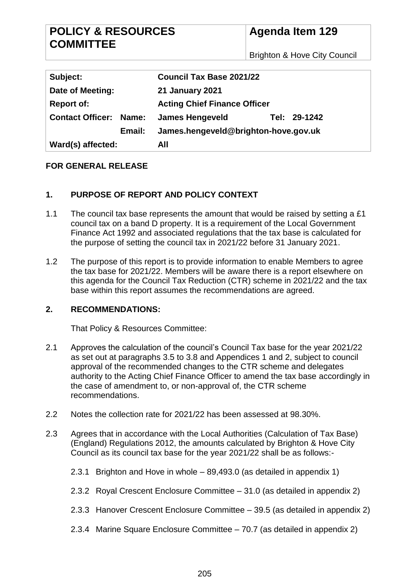Brighton & Hove City Council

| Subject:                      | <b>Council Tax Base 2021/22</b>        |  |  |
|-------------------------------|----------------------------------------|--|--|
| Date of Meeting:              | <b>21 January 2021</b>                 |  |  |
| <b>Report of:</b>             | <b>Acting Chief Finance Officer</b>    |  |  |
| <b>Contact Officer: Name:</b> | Tel: 29-1242<br><b>James Hengeveld</b> |  |  |
| Email:                        | James.hengeveld@brighton-hove.gov.uk   |  |  |
| Ward(s) affected:             | All                                    |  |  |

## **FOR GENERAL RELEASE**

### **1. PURPOSE OF REPORT AND POLICY CONTEXT**

- 1.1 The council tax base represents the amount that would be raised by setting a £1 council tax on a band D property. It is a requirement of the Local Government Finance Act 1992 and associated regulations that the tax base is calculated for the purpose of setting the council tax in 2021/22 before 31 January 2021.
- 1.2 The purpose of this report is to provide information to enable Members to agree the tax base for 2021/22. Members will be aware there is a report elsewhere on this agenda for the Council Tax Reduction (CTR) scheme in 2021/22 and the tax base within this report assumes the recommendations are agreed.

#### **2. RECOMMENDATIONS:**

That Policy & Resources Committee:

- 2.1 Approves the calculation of the council's Council Tax base for the year 2021/22 as set out at paragraphs [3.5](#page-4-0) to [3.8](#page-5-0) and Appendices 1 and 2, subject to council approval of the recommended changes to the CTR scheme and delegates authority to the Acting Chief Finance Officer to amend the tax base accordingly in the case of amendment to, or non-approval of, the CTR scheme recommendations.
- 2.2 Notes the collection rate for 2021/22 has been assessed at 98.30%.
- 2.3 Agrees that in accordance with the Local Authorities (Calculation of Tax Base) (England) Regulations 2012, the amounts calculated by Brighton & Hove City Council as its council tax base for the year 2021/22 shall be as follows:-
	- 2.3.1 Brighton and Hove in whole 89,493.0 (as detailed in appendix 1)
	- 2.3.2 Royal Crescent Enclosure Committee 31.0 (as detailed in appendix 2)
	- 2.3.3 Hanover Crescent Enclosure Committee 39.5 (as detailed in appendix 2)
	- 2.3.4 Marine Square Enclosure Committee 70.7 (as detailed in appendix 2)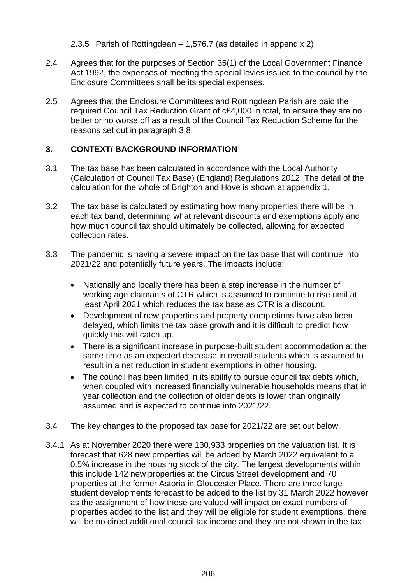2.3.5 Parish of Rottingdean – 1,576.7 (as detailed in appendix 2)

- 2.4 Agrees that for the purposes of Section 35(1) of the Local Government Finance Act 1992, the expenses of meeting the special levies issued to the council by the Enclosure Committees shall be its special expenses.
- 2.5 Agrees that the Enclosure Committees and Rottingdean Parish are paid the required Council Tax Reduction Grant of c£4,000 in total, to ensure they are no better or no worse off as a result of the Council Tax Reduction Scheme for the reasons set out in paragraph [3.8.](#page-5-0)

## **3. CONTEXT/ BACKGROUND INFORMATION**

- 3.1 The tax base has been calculated in accordance with the Local Authority (Calculation of Council Tax Base) (England) Regulations 2012. The detail of the calculation for the whole of Brighton and Hove is shown at appendix 1.
- 3.2 The tax base is calculated by estimating how many properties there will be in each tax band, determining what relevant discounts and exemptions apply and how much council tax should ultimately be collected, allowing for expected collection rates.
- 3.3 The pandemic is having a severe impact on the tax base that will continue into 2021/22 and potentially future years. The impacts include:
	- Nationally and locally there has been a step increase in the number of working age claimants of CTR which is assumed to continue to rise until at least April 2021 which reduces the tax base as CTR is a discount.
	- Development of new properties and property completions have also been delayed, which limits the tax base growth and it is difficult to predict how quickly this will catch up.
	- There is a significant increase in purpose-built student accommodation at the same time as an expected decrease in overall students which is assumed to result in a net reduction in student exemptions in other housing.
	- The council has been limited in its ability to pursue council tax debts which, when coupled with increased financially vulnerable households means that in year collection and the collection of older debts is lower than originally assumed and is expected to continue into 2021/22.
- 3.4 The key changes to the proposed tax base for 2021/22 are set out below.
- 3.4.1 As at November 2020 there were 130,933 properties on the valuation list. It is forecast that 628 new properties will be added by March 2022 equivalent to a 0.5% increase in the housing stock of the city. The largest developments within this include 142 new properties at the Circus Street development and 70 properties at the former Astoria in Gloucester Place. There are three large student developments forecast to be added to the list by 31 March 2022 however as the assignment of how these are valued will impact on exact numbers of properties added to the list and they will be eligible for student exemptions, there will be no direct additional council tax income and they are not shown in the tax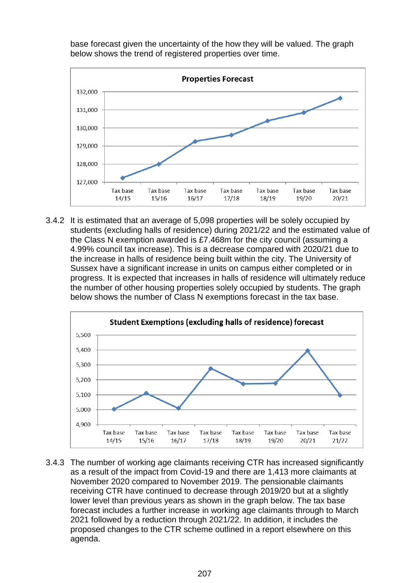base forecast given the uncertainty of the how they will be valued. The graph below shows the trend of registered properties over time.



3.4.2 It is estimated that an average of 5,098 properties will be solely occupied by students (excluding halls of residence) during 2021/22 and the estimated value of the Class N exemption awarded is £7.468m for the city council (assuming a 4.99% council tax increase). This is a decrease compared with 2020/21 due to the increase in halls of residence being built within the city. The University of Sussex have a significant increase in units on campus either completed or in progress. It is expected that increases in halls of residence will ultimately reduce the number of other housing properties solely occupied by students. The graph below shows the number of Class N exemptions forecast in the tax base.



3.4.3 The number of working age claimants receiving CTR has increased significantly as a result of the impact from Covid-19 and there are 1,413 more claimants at November 2020 compared to November 2019. The pensionable claimants receiving CTR have continued to decrease through 2019/20 but at a slightly lower level than previous years as shown in the graph below. The tax base forecast includes a further increase in working age claimants through to March 2021 followed by a reduction through 2021/22. In addition, it includes the proposed changes to the CTR scheme outlined in a report elsewhere on this agenda.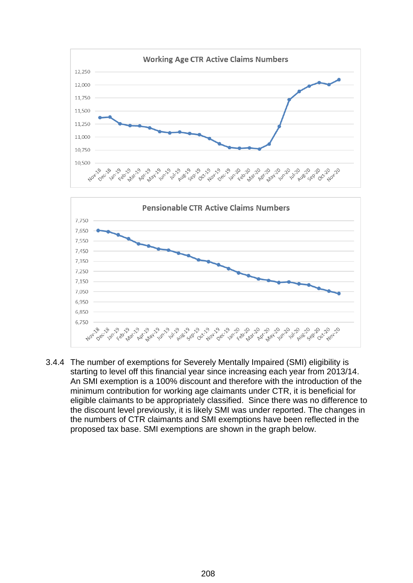



3.4.4 The number of exemptions for Severely Mentally Impaired (SMI) eligibility is starting to level off this financial year since increasing each year from 2013/14. An SMI exemption is a 100% discount and therefore with the introduction of the minimum contribution for working age claimants under CTR, it is beneficial for eligible claimants to be appropriately classified. Since there was no difference to the discount level previously, it is likely SMI was under reported. The changes in the numbers of CTR claimants and SMI exemptions have been reflected in the proposed tax base. SMI exemptions are shown in the graph below.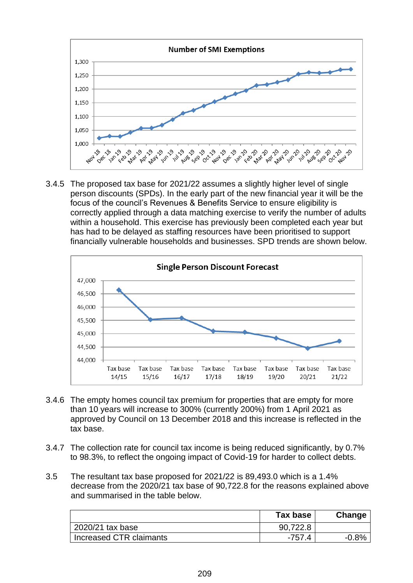

3.4.5 The proposed tax base for 2021/22 assumes a slightly higher level of single person discounts (SPDs). In the early part of the new financial year it will be the focus of the council's Revenues & Benefits Service to ensure eligibility is correctly applied through a data matching exercise to verify the number of adults within a household. This exercise has previously been completed each year but has had to be delayed as staffing resources have been prioritised to support financially vulnerable households and businesses. SPD trends are shown below.



- 3.4.6 The empty homes council tax premium for properties that are empty for more than 10 years will increase to 300% (currently 200%) from 1 April 2021 as approved by Council on 13 December 2018 and this increase is reflected in the tax base.
- 3.4.7 The collection rate for council tax income is being reduced significantly, by 0.7% to 98.3%, to reflect the ongoing impact of Covid-19 for harder to collect debts.
- <span id="page-4-0"></span>3.5 The resultant tax base proposed for 2021/22 is 89,493.0 which is a 1.4% decrease from the 2020/21 tax base of 90,722.8 for the reasons explained above and summarised in the table below.

|                         | Tax base | Change  |
|-------------------------|----------|---------|
| 2020/21 tax base        | 90,722.8 |         |
| Increased CTR claimants | $-757.4$ | $-0.8%$ |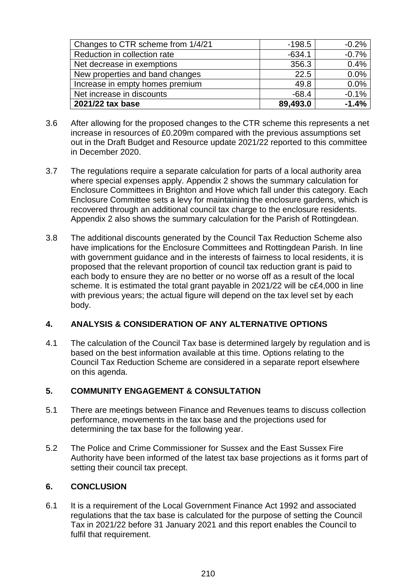| Changes to CTR scheme from 1/4/21 | $-198.5$ | $-0.2%$ |
|-----------------------------------|----------|---------|
| Reduction in collection rate      | $-634.1$ | $-0.7%$ |
| Net decrease in exemptions        | 356.3    | 0.4%    |
| New properties and band changes   | 22.5     | 0.0%    |
| Increase in empty homes premium   | 49.8     | 0.0%    |
| Net increase in discounts         | $-68.4$  | $-0.1%$ |
| 2021/22 tax base                  | 89,493.0 | $-1.4%$ |

- 3.6 After allowing for the proposed changes to the CTR scheme this represents a net increase in resources of £0.209m compared with the previous assumptions set out in the Draft Budget and Resource update 2021/22 reported to this committee in December 2020.
- 3.7 The regulations require a separate calculation for parts of a local authority area where special expenses apply. Appendix 2 shows the summary calculation for Enclosure Committees in Brighton and Hove which fall under this category. Each Enclosure Committee sets a levy for maintaining the enclosure gardens, which is recovered through an additional council tax charge to the enclosure residents. Appendix 2 also shows the summary calculation for the Parish of Rottingdean.
- <span id="page-5-0"></span>3.8 The additional discounts generated by the Council Tax Reduction Scheme also have implications for the Enclosure Committees and Rottingdean Parish. In line with government guidance and in the interests of fairness to local residents, it is proposed that the relevant proportion of council tax reduction grant is paid to each body to ensure they are no better or no worse off as a result of the local scheme. It is estimated the total grant payable in 2021/22 will be c£4,000 in line with previous years; the actual figure will depend on the tax level set by each body.

## **4. ANALYSIS & CONSIDERATION OF ANY ALTERNATIVE OPTIONS**

4.1 The calculation of the Council Tax base is determined largely by regulation and is based on the best information available at this time. Options relating to the Council Tax Reduction Scheme are considered in a separate report elsewhere on this agenda.

## **5. COMMUNITY ENGAGEMENT & CONSULTATION**

- 5.1 There are meetings between Finance and Revenues teams to discuss collection performance, movements in the tax base and the projections used for determining the tax base for the following year.
- 5.2 The Police and Crime Commissioner for Sussex and the East Sussex Fire Authority have been informed of the latest tax base projections as it forms part of setting their council tax precept.

## **6. CONCLUSION**

6.1 It is a requirement of the Local Government Finance Act 1992 and associated regulations that the tax base is calculated for the purpose of setting the Council Tax in 2021/22 before 31 January 2021 and this report enables the Council to fulfil that requirement.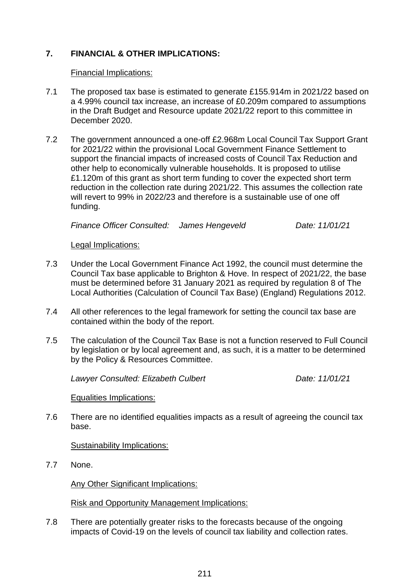# **7. FINANCIAL & OTHER IMPLICATIONS:**

#### Financial Implications:

- 7.1 The proposed tax base is estimated to generate £155.914m in 2021/22 based on a 4.99% council tax increase, an increase of £0.209m compared to assumptions in the Draft Budget and Resource update 2021/22 report to this committee in December 2020.
- 7.2 The government announced a one-off £2.968m Local Council Tax Support Grant for 2021/22 within the provisional Local Government Finance Settlement to support the financial impacts of increased costs of Council Tax Reduction and other help to economically vulnerable households. It is proposed to utilise £1.120m of this grant as short term funding to cover the expected short term reduction in the collection rate during 2021/22. This assumes the collection rate will revert to 99% in 2022/23 and therefore is a sustainable use of one off funding.

*Finance Officer Consulted: James Hengeveld Date: 11/01/21*

#### Legal Implications:

- 7.3 Under the Local Government Finance Act 1992, the council must determine the Council Tax base applicable to Brighton & Hove. In respect of 2021/22, the base must be determined before 31 January 2021 as required by regulation 8 of The Local Authorities (Calculation of Council Tax Base) (England) Regulations 2012.
- 7.4 All other references to the legal framework for setting the council tax base are contained within the body of the report.
- 7.5 The calculation of the Council Tax Base is not a function reserved to Full Council by legislation or by local agreement and, as such, it is a matter to be determined by the Policy & Resources Committee.

*Lawyer Consulted: Elizabeth Culbert Date: 11/01/21*

Equalities Implications:

7.6 There are no identified equalities impacts as a result of agreeing the council tax base.

#### Sustainability Implications:

7.7 None.

Any Other Significant Implications:

Risk and Opportunity Management Implications:

7.8 There are potentially greater risks to the forecasts because of the ongoing impacts of Covid-19 on the levels of council tax liability and collection rates.